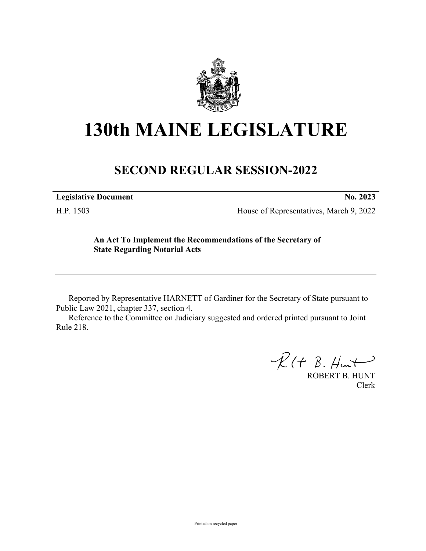

## **130th MAINE LEGISLATURE**

## **SECOND REGULAR SESSION-2022**

**Legislative Document No. 2023**

H.P. 1503 House of Representatives, March 9, 2022

**An Act To Implement the Recommendations of the Secretary of State Regarding Notarial Acts**

Reported by Representative HARNETT of Gardiner for the Secretary of State pursuant to Public Law 2021, chapter 337, section 4.

Reference to the Committee on Judiciary suggested and ordered printed pursuant to Joint Rule 218.

 $R(H B. H<sub>un</sub>)$ 

ROBERT B. HUNT Clerk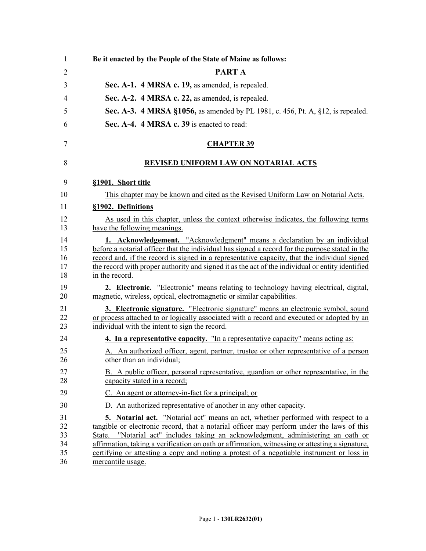| $\mathbf{1}$                     | Be it enacted by the People of the State of Maine as follows:                                                                                                                                                                                                                                                                                                                                                                                                                                      |
|----------------------------------|----------------------------------------------------------------------------------------------------------------------------------------------------------------------------------------------------------------------------------------------------------------------------------------------------------------------------------------------------------------------------------------------------------------------------------------------------------------------------------------------------|
| 2                                | <b>PARTA</b>                                                                                                                                                                                                                                                                                                                                                                                                                                                                                       |
| 3                                | Sec. A-1. 4 MRSA c. 19, as amended, is repealed.                                                                                                                                                                                                                                                                                                                                                                                                                                                   |
| 4                                | Sec. A-2. 4 MRSA c. 22, as amended, is repealed.                                                                                                                                                                                                                                                                                                                                                                                                                                                   |
| 5                                | <b>Sec. A-3. 4 MRSA §1056, as amended by PL 1981, c. 456, Pt. A, §12, is repealed.</b>                                                                                                                                                                                                                                                                                                                                                                                                             |
| 6                                | Sec. A-4. 4 MRSA c. 39 is enacted to read:                                                                                                                                                                                                                                                                                                                                                                                                                                                         |
| $\tau$                           | <b>CHAPTER 39</b>                                                                                                                                                                                                                                                                                                                                                                                                                                                                                  |
| 8                                | <b>REVISED UNIFORM LAW ON NOTARIAL ACTS</b>                                                                                                                                                                                                                                                                                                                                                                                                                                                        |
| 9                                | §1901. Short title                                                                                                                                                                                                                                                                                                                                                                                                                                                                                 |
| 10                               | This chapter may be known and cited as the Revised Uniform Law on Notarial Acts.                                                                                                                                                                                                                                                                                                                                                                                                                   |
| 11                               | §1902. Definitions                                                                                                                                                                                                                                                                                                                                                                                                                                                                                 |
| 12<br>13                         | As used in this chapter, unless the context otherwise indicates, the following terms<br>have the following meanings.                                                                                                                                                                                                                                                                                                                                                                               |
| 14<br>15<br>16<br>17<br>18       | <b>1. Acknowledgement.</b> "Acknowledgment" means a declaration by an individual<br>before a notarial officer that the individual has signed a record for the purpose stated in the<br>record and, if the record is signed in a representative capacity, that the individual signed<br>the record with proper authority and signed it as the act of the individual or entity identified<br>in the record.                                                                                          |
| 19<br>20                         | <b>2. Electronic.</b> "Electronic" means relating to technology having electrical, digital,<br>magnetic, wireless, optical, electromagnetic or similar capabilities.                                                                                                                                                                                                                                                                                                                               |
| 21<br>22<br>23                   | 3. Electronic signature. "Electronic signature" means an electronic symbol, sound<br>or process attached to or logically associated with a record and executed or adopted by an<br>individual with the intent to sign the record.                                                                                                                                                                                                                                                                  |
| 24                               | 4. In a representative capacity. "In a representative capacity" means acting as:                                                                                                                                                                                                                                                                                                                                                                                                                   |
| 25<br>26                         | An authorized officer, agent, partner, trustee or other representative of a person<br>other than an individual;                                                                                                                                                                                                                                                                                                                                                                                    |
| 27<br>28                         | B. A public officer, personal representative, guardian or other representative, in the<br>capacity stated in a record;                                                                                                                                                                                                                                                                                                                                                                             |
| 29                               | C. An agent or attorney-in-fact for a principal; or                                                                                                                                                                                                                                                                                                                                                                                                                                                |
| 30                               | D. An authorized representative of another in any other capacity.                                                                                                                                                                                                                                                                                                                                                                                                                                  |
| 31<br>32<br>33<br>34<br>35<br>36 | <b>5.</b> Notarial act. "Notarial act" means an act, whether performed with respect to a<br>tangible or electronic record, that a notarial officer may perform under the laws of this<br>"Notarial act" includes taking an acknowledgment, administering an oath or<br>State.<br>affirmation, taking a verification on oath or affirmation, witnessing or attesting a signature,<br>certifying or attesting a copy and noting a protest of a negotiable instrument or loss in<br>mercantile usage. |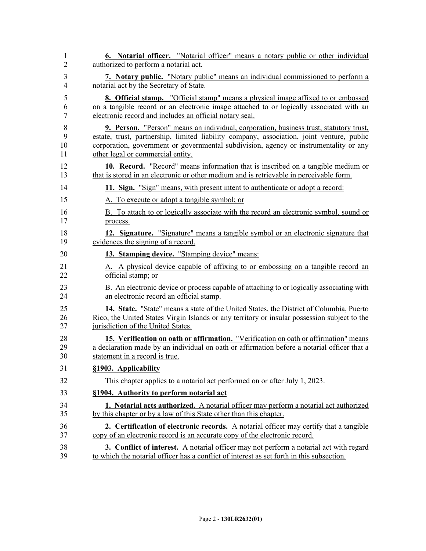| 1  | 6. Notarial officer. "Notarial officer" means a notary public or other individual             |
|----|-----------------------------------------------------------------------------------------------|
| 2  | authorized to perform a notarial act.                                                         |
| 3  | 7. Notary public. "Notary public" means an individual commissioned to perform a               |
| 4  | notarial act by the Secretary of State.                                                       |
| 5  | 8. Official stamp. "Official stamp" means a physical image affixed to or embossed             |
| 6  | on a tangible record or an electronic image attached to or logically associated with an       |
| 7  | electronic record and includes an official notary seal.                                       |
| 8  | 9. Person. "Person" means an individual, corporation, business trust, statutory trust,        |
| 9  | estate, trust, partnership, limited liability company, association, joint venture, public     |
| 10 | corporation, government or governmental subdivision, agency or instrumentality or any         |
| 11 | other legal or commercial entity.                                                             |
| 12 | 10. Record. "Record" means information that is inscribed on a tangible medium or              |
| 13 | that is stored in an electronic or other medium and is retrievable in perceivable form.       |
| 14 | 11. Sign. "Sign" means, with present intent to authenticate or adopt a record:                |
| 15 | A. To execute or adopt a tangible symbol; or                                                  |
| 16 | B. To attach to or logically associate with the record an electronic symbol, sound or         |
| 17 | process.                                                                                      |
| 18 | 12. Signature. "Signature" means a tangible symbol or an electronic signature that            |
| 19 | evidences the signing of a record.                                                            |
| 20 | 13. Stamping device. "Stamping device" means:                                                 |
| 21 | A. A physical device capable of affixing to or embossing on a tangible record an              |
| 22 | official stamp; or                                                                            |
| 23 | B. An electronic device or process capable of attaching to or logically associating with      |
| 24 | an electronic record an official stamp.                                                       |
| 25 | 14. State. "State" means a state of the United States, the District of Columbia, Puerto       |
| 26 | Rico, the United States Virgin Islands or any territory or insular possession subject to the  |
| 27 | jurisdiction of the United States.                                                            |
| 28 | 15. Verification on oath or affirmation. "Verification on oath or affirmation" means          |
| 29 | a declaration made by an individual on oath or affirmation before a notarial officer that a   |
| 30 | statement in a record is true.                                                                |
| 31 | §1903. Applicability                                                                          |
| 32 | This chapter applies to a notarial act performed on or after July 1, 2023.                    |
| 33 | §1904. Authority to perform notarial act                                                      |
| 34 | 1. Notarial acts authorized. A notarial officer may perform a notarial act authorized         |
| 35 | by this chapter or by a law of this State other than this chapter.                            |
| 36 | 2. Certification of electronic records. A notarial officer may certify that a tangible        |
| 37 | copy of an electronic record is an accurate copy of the electronic record.                    |
| 38 | <b>3. Conflict of interest.</b> A notarial officer may not perform a notarial act with regard |
| 39 | to which the notarial officer has a conflict of interest as set forth in this subsection.     |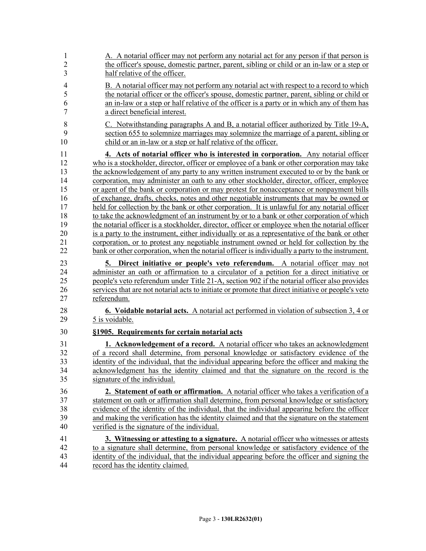| 1<br>$\overline{c}$<br>$\overline{\mathbf{3}}$ | A. A notarial officer may not perform any notarial act for any person if that person is<br>the officer's spouse, domestic partner, parent, sibling or child or an in-law or a step or<br>half relative of the officer.                                                                                                                                                                              |
|------------------------------------------------|-----------------------------------------------------------------------------------------------------------------------------------------------------------------------------------------------------------------------------------------------------------------------------------------------------------------------------------------------------------------------------------------------------|
| $\overline{\mathbf{4}}$<br>5<br>6<br>7         | B. A notarial officer may not perform any notarial act with respect to a record to which<br>the notarial officer or the officer's spouse, domestic partner, parent, sibling or child or<br>an in-law or a step or half relative of the officer is a party or in which any of them has<br>a direct beneficial interest.                                                                              |
| 8<br>9<br>10                                   | C. Notwithstanding paragraphs A and B, a notarial officer authorized by Title 19-A,<br>section 655 to solemnize marriages may solemnize the marriage of a parent, sibling or<br>child or an in-law or a step or half relative of the officer.                                                                                                                                                       |
| 11                                             | 4. Acts of notarial officer who is interested in corporation. Any notarial officer                                                                                                                                                                                                                                                                                                                  |
| 12                                             | who is a stockholder, director, officer or employee of a bank or other corporation may take                                                                                                                                                                                                                                                                                                         |
| 13                                             | the acknowledgement of any party to any written instrument executed to or by the bank or                                                                                                                                                                                                                                                                                                            |
| 14                                             | corporation, may administer an oath to any other stockholder, director, officer, employee                                                                                                                                                                                                                                                                                                           |
| 15                                             | or agent of the bank or corporation or may protest for nonacceptance or nonpayment bills                                                                                                                                                                                                                                                                                                            |
| 16                                             | of exchange, drafts, checks, notes and other negotiable instruments that may be owned or                                                                                                                                                                                                                                                                                                            |
| 17                                             | held for collection by the bank or other corporation. It is unlawful for any notarial officer                                                                                                                                                                                                                                                                                                       |
| 18                                             | to take the acknowledgment of an instrument by or to a bank or other corporation of which                                                                                                                                                                                                                                                                                                           |
| 19<br>20                                       | the notarial officer is a stockholder, director, officer or employee when the notarial officer                                                                                                                                                                                                                                                                                                      |
| 21                                             | is a party to the instrument, either individually or as a representative of the bank or other<br>corporation, or to protest any negotiable instrument owned or held for collection by the                                                                                                                                                                                                           |
| 22                                             | bank or other corporation, when the notarial officer is individually a party to the instrument.                                                                                                                                                                                                                                                                                                     |
| 23<br>24<br>25<br>26<br>27                     | Direct initiative or people's veto referendum. A notarial officer may not<br>5.<br>administer an oath or affirmation to a circulator of a petition for a direct initiative or<br>people's veto referendum under Title 21-A, section 902 if the notarial officer also provides<br>services that are not notarial acts to initiate or promote that direct initiative or people's veto<br>referendum.  |
| 28                                             | <b>6.</b> Voidable notarial acts. A notarial act performed in violation of subsection 3, 4 or                                                                                                                                                                                                                                                                                                       |
| 29                                             | 5 is voidable.                                                                                                                                                                                                                                                                                                                                                                                      |
| 30                                             | §1905. Requirements for certain notarial acts                                                                                                                                                                                                                                                                                                                                                       |
| 31<br>32<br>33<br>34<br>35                     | <b>1. Acknowledgement of a record.</b> A notarial officer who takes an acknowledgment<br>of a record shall determine, from personal knowledge or satisfactory evidence of the<br>identity of the individual, that the individual appearing before the officer and making the<br>acknowledgment has the identity claimed and that the signature on the record is the<br>signature of the individual. |
| 36                                             | 2. Statement of oath or affirmation. A notarial officer who takes a verification of a                                                                                                                                                                                                                                                                                                               |
| 37                                             | statement on oath or affirmation shall determine, from personal knowledge or satisfactory                                                                                                                                                                                                                                                                                                           |
| 38                                             | evidence of the identity of the individual, that the individual appearing before the officer                                                                                                                                                                                                                                                                                                        |
| 39<br>40                                       | and making the verification has the identity claimed and that the signature on the statement<br>verified is the signature of the individual.                                                                                                                                                                                                                                                        |
| 41                                             | 3. Witnessing or attesting to a signature. A notarial officer who witnesses or attests                                                                                                                                                                                                                                                                                                              |
| 42                                             | to a signature shall determine, from personal knowledge or satisfactory evidence of the                                                                                                                                                                                                                                                                                                             |
| 43                                             | identity of the individual, that the individual appearing before the officer and signing the                                                                                                                                                                                                                                                                                                        |
| 44                                             | record has the identity claimed.                                                                                                                                                                                                                                                                                                                                                                    |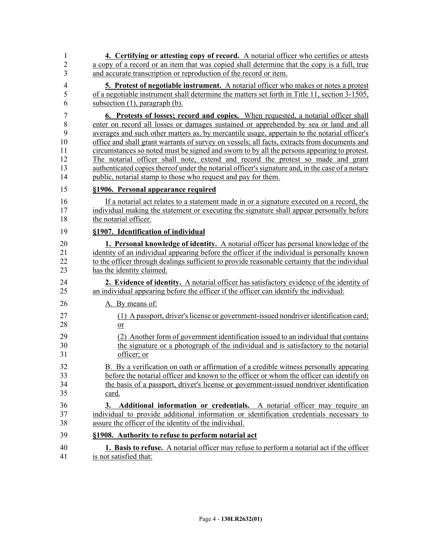| 1              | 4. Certifying or attesting copy of record. A notarial officer who certifies or attests            |
|----------------|---------------------------------------------------------------------------------------------------|
| $\overline{2}$ | a copy of a record or an item that was copied shall determine that the copy is a full, true       |
| 3              | and accurate transcription or reproduction of the record or item.                                 |
| $\overline{4}$ | <b>5.</b> Protest of negotiable instrument. A notarial officer who makes or notes a protest       |
| 5              | of a negotiable instrument shall determine the matters set forth in Title 11, section 3-1505,     |
| 6              | subsection $(1)$ , paragraph $(b)$ .                                                              |
| $\overline{7}$ | 6. Protests of losses; record and copies. When requested, a notarial officer shall                |
| $\,8\,$        | enter on record all losses or damages sustained or apprehended by sea or land and all             |
| 9              | averages and such other matters as, by mercantile usage, appertain to the notarial officer's      |
| 10             | office and shall grant warrants of survey on vessels; all facts, extracts from documents and      |
| 11             | circumstances so noted must be signed and sworn to by all the persons appearing to protest.       |
| 12             | The notarial officer shall note, extend and record the protest so made and grant                  |
| 13             | authenticated copies thereof under the notarial officer's signature and, in the case of a notary  |
| 14             | public, notarial stamp to those who request and pay for them.                                     |
| 15             | §1906. Personal appearance required                                                               |
| 16             | If a notarial act relates to a statement made in or a signature executed on a record, the         |
| 17             | individual making the statement or executing the signature shall appear personally before         |
| 18             | the notarial officer.                                                                             |
| 19             | §1907. Identification of individual                                                               |
| 20             | 1. Personal knowledge of identity. A notarial officer has personal knowledge of the               |
| 21             | identity of an individual appearing before the officer if the individual is personally known      |
| 22             | to the officer through dealings sufficient to provide reasonable certainty that the individual    |
| 23             | has the identity claimed.                                                                         |
| 24             | 2. Evidence of identity. A notarial officer has satisfactory evidence of the identity of          |
| 25             | an individual appearing before the officer if the officer can identify the individual:            |
| 26             | A. By means of:                                                                                   |
| 27             | (1) A passport, driver's license or government-issued nondriver identification card;              |
| 28             | or                                                                                                |
| 29             | (2) Another form of government identification issued to an individual that contains               |
| 30             | the signature or a photograph of the individual and is satisfactory to the notarial               |
| 31             | officer; or                                                                                       |
| 32             | B. By a verification on oath or affirmation of a credible witness personally appearing            |
| 33             | before the notarial officer and known to the officer or whom the officer can identify on          |
| 34             | the basis of a passport, driver's license or government-issued nondriver identification           |
| 35             | card.                                                                                             |
| 36             | 3. Additional information or credentials. A notarial officer may require an                       |
| 37             | individual to provide additional information or identification credentials necessary to           |
| 38             | assure the officer of the identity of the individual.                                             |
| 39             | §1908. Authority to refuse to perform notarial act                                                |
| 40             | <b>1. Basis to refuse.</b> A notarial officer may refuse to perform a notarial act if the officer |
| 41             | is not satisfied that:                                                                            |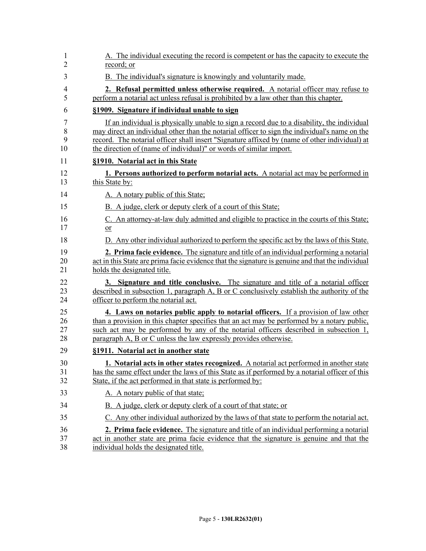| 1  | A. The individual executing the record is competent or has the capacity to execute the           |
|----|--------------------------------------------------------------------------------------------------|
| 2  | record; or                                                                                       |
| 3  | B. The individual's signature is knowingly and voluntarily made.                                 |
| 4  | 2. Refusal permitted unless otherwise required. A notarial officer may refuse to                 |
| 5  | perform a notarial act unless refusal is prohibited by a law other than this chapter.            |
| 6  | §1909. Signature if individual unable to sign                                                    |
| 7  | If an individual is physically unable to sign a record due to a disability, the individual       |
| 8  | may direct an individual other than the notarial officer to sign the individual's name on the    |
| 9  | record. The notarial officer shall insert "Signature affixed by (name of other individual) at    |
| 10 | the direction of (name of individual)" or words of similar import.                               |
| 11 | §1910. Notarial act in this State                                                                |
| 12 | 1. Persons authorized to perform notarial acts. A notarial act may be performed in               |
| 13 | this State by:                                                                                   |
| 14 | A. A notary public of this State;                                                                |
| 15 | B. A judge, clerk or deputy clerk of a court of this State;                                      |
| 16 | C. An attorney-at-law duly admitted and eligible to practice in the courts of this State;        |
| 17 | or                                                                                               |
| 18 | D. Any other individual authorized to perform the specific act by the laws of this State.        |
| 19 | 2. Prima facie evidence. The signature and title of an individual performing a notarial          |
| 20 | act in this State are prima facie evidence that the signature is genuine and that the individual |
| 21 | holds the designated title.                                                                      |
| 22 | 3. Signature and title conclusive. The signature and title of a notarial officer                 |
| 23 | described in subsection 1, paragraph A, B or C conclusively establish the authority of the       |
| 24 | officer to perform the notarial act.                                                             |
| 25 | 4. Laws on notaries public apply to notarial officers. If a provision of law other               |
| 26 | than a provision in this chapter specifies that an act may be performed by a notary public,      |
| 27 | such act may be performed by any of the notarial officers described in subsection 1,             |
| 28 | paragraph A, B or C unless the law expressly provides otherwise.                                 |
| 29 | §1911. Notarial act in another state                                                             |
| 30 | 1. Notarial acts in other states recognized. A notarial act performed in another state           |
| 31 | has the same effect under the laws of this State as if performed by a notarial officer of this   |
| 32 | State, if the act performed in that state is performed by:                                       |
| 33 | A. A notary public of that state;                                                                |
| 34 | B. A judge, clerk or deputy clerk of a court of that state; or                                   |
| 35 | C. Any other individual authorized by the laws of that state to perform the notarial act.        |
| 36 | 2. Prima facie evidence. The signature and title of an individual performing a notarial          |
| 37 | act in another state are prima facie evidence that the signature is genuine and that the         |
| 38 | individual holds the designated title.                                                           |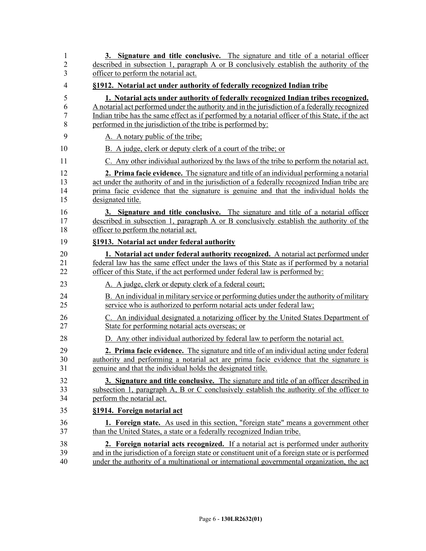| 1              | 3. Signature and title conclusive. The signature and title of a notarial officer                  |
|----------------|---------------------------------------------------------------------------------------------------|
| $\overline{2}$ | described in subsection 1, paragraph A or B conclusively establish the authority of the           |
| 3              | officer to perform the notarial act.                                                              |
| 4              | §1912. Notarial act under authority of federally recognized Indian tribe                          |
| 5              | 1. Notarial acts under authority of federally recognized Indian tribes recognized.                |
| 6              | A notarial act performed under the authority and in the jurisdiction of a federally recognized    |
| $\overline{7}$ | Indian tribe has the same effect as if performed by a notarial officer of this State, if the act  |
| 8              | performed in the jurisdiction of the tribe is performed by:                                       |
| 9              | A. A notary public of the tribe;                                                                  |
| 10             | B. A judge, clerk or deputy clerk of a court of the tribe; or                                     |
| 11             | C. Any other individual authorized by the laws of the tribe to perform the notarial act.          |
| 12             | <b>2. Prima facie evidence.</b> The signature and title of an individual performing a notarial    |
| 13             | act under the authority of and in the jurisdiction of a federally recognized Indian tribe are     |
| 14             | prima facie evidence that the signature is genuine and that the individual holds the              |
| 15             | designated title.                                                                                 |
| 16             | 3. Signature and title conclusive. The signature and title of a notarial officer                  |
| 17             | described in subsection 1, paragraph A or B conclusively establish the authority of the           |
| 18             | officer to perform the notarial act.                                                              |
| 19             | §1913. Notarial act under federal authority                                                       |
| 20             | 1. Notarial act under federal authority recognized. A notarial act performed under                |
| 21             | federal law has the same effect under the laws of this State as if performed by a notarial        |
| 22             | officer of this State, if the act performed under federal law is performed by:                    |
| 23             | A. A judge, clerk or deputy clerk of a federal court;                                             |
| 24             | B. An individual in military service or performing duties under the authority of military         |
| 25             | service who is authorized to perform notarial acts under federal law;                             |
| 26             | C. An individual designated a notarizing officer by the United States Department of               |
| 27             | State for performing notarial acts overseas; or                                                   |
| 28             | D. Any other individual authorized by federal law to perform the notarial act.                    |
| 29             | 2. Prima facie evidence. The signature and title of an individual acting under federal            |
| 30             | authority and performing a notarial act are prima facie evidence that the signature is            |
| 31             | genuine and that the individual holds the designated title.                                       |
| 32             | <b>3. Signature and title conclusive.</b> The signature and title of an officer described in      |
| 33             | subsection 1, paragraph A, B or C conclusively establish the authority of the officer to          |
| 34             | perform the notarial act.                                                                         |
| 35             | §1914. Foreign notarial act                                                                       |
| 36             | 1. Foreign state. As used in this section, "foreign state" means a government other               |
| 37             | than the United States, a state or a federally recognized Indian tribe.                           |
| 38             | 2. Foreign notarial acts recognized. If a notarial act is performed under authority               |
| 39             | and in the jurisdiction of a foreign state or constituent unit of a foreign state or is performed |
| 40             | under the authority of a multinational or international governmental organization, the act        |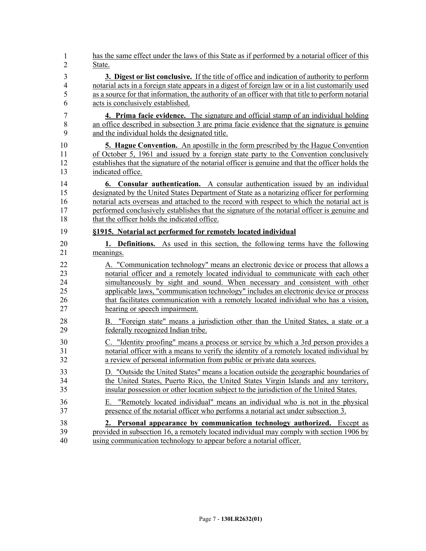| $\mathbf{1}$   | has the same effect under the laws of this State as if performed by a notarial officer of this    |
|----------------|---------------------------------------------------------------------------------------------------|
| $\overline{2}$ | State.                                                                                            |
| 3              | 3. Digest or list conclusive. If the title of office and indication of authority to perform       |
| $\overline{4}$ | notarial acts in a foreign state appears in a digest of foreign law or in a list customarily used |
| 5              | as a source for that information, the authority of an officer with that title to perform notarial |
| 6              | acts is conclusively established.                                                                 |
| $\tau$         | <b>4. Prima facie evidence.</b> The signature and official stamp of an individual holding         |
| 8              | an office described in subsection 3 are prima facie evidence that the signature is genuine        |
| 9              | and the individual holds the designated title.                                                    |
| 10             | <b>5. Hague Convention.</b> An apostille in the form prescribed by the Hague Convention           |
| 11             | of October 5, 1961 and issued by a foreign state party to the Convention conclusively             |
| 12             | establishes that the signature of the notarial officer is genuine and that the officer holds the  |
| 13             | indicated office.                                                                                 |
| 14             | <b>6. Consular authentication.</b> A consular authentication issued by an individual              |
| 15             | designated by the United States Department of State as a notarizing officer for performing        |
| 16             | notarial acts overseas and attached to the record with respect to which the notarial act is       |
| 17             | performed conclusively establishes that the signature of the notarial officer is genuine and      |
| 18             | that the officer holds the indicated office.                                                      |
| 19             | §1915. Notarial act performed for remotely located individual                                     |
| 20             | 1. Definitions. As used in this section, the following terms have the following                   |
| 21             | meanings.                                                                                         |
| 22             | A. "Communication technology" means an electronic device or process that allows a                 |
| 23             | notarial officer and a remotely located individual to communicate with each other                 |
| 24             | simultaneously by sight and sound. When necessary and consistent with other                       |
| 25             | applicable laws, "communication technology" includes an electronic device or process              |
| 26             | that facilitates communication with a remotely located individual who has a vision,               |
| 27             | hearing or speech impairment.                                                                     |
| 28             | B. "Foreign state" means a jurisdiction other than the United States, a state or a                |
| 29             | federally recognized Indian tribe.                                                                |
| 30             | C. "Identity proofing" means a process or service by which a 3rd person provides a                |
| 31             | notarial officer with a means to verify the identity of a remotely located individual by          |
| 32             | a review of personal information from public or private data sources.                             |
| 33             | D. "Outside the United States" means a location outside the geographic boundaries of              |
| 34             | the United States, Puerto Rico, the United States Virgin Islands and any territory,               |
| 35             | insular possession or other location subject to the jurisdiction of the United States.            |
| 36             | E. "Remotely located individual" means an individual who is not in the physical                   |
| 37             | presence of the notarial officer who performs a notarial act under subsection 3.                  |
| 38             | 2. Personal appearance by communication technology authorized. Except as                          |
| 39             | provided in subsection 16, a remotely located individual may comply with section 1906 by          |
| 40             | using communication technology to appear before a notarial officer.                               |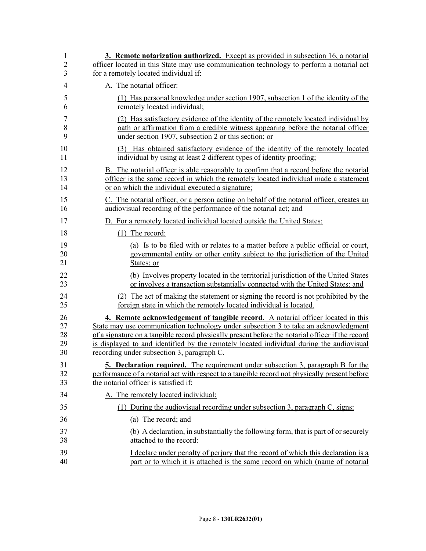| 1              | 3. Remote notarization authorized. Except as provided in subsection 16, a notarial               |
|----------------|--------------------------------------------------------------------------------------------------|
| $\overline{2}$ | officer located in this State may use communication technology to perform a notarial act         |
| 3              | for a remotely located individual if:                                                            |
| 4              | A. The notarial officer:                                                                         |
| 5              | (1) Has personal knowledge under section 1907, subsection 1 of the identity of the               |
| 6              | remotely located individual;                                                                     |
| 7              | (2) Has satisfactory evidence of the identity of the remotely located individual by              |
| 8              | oath or affirmation from a credible witness appearing before the notarial officer                |
| 9              | under section 1907, subsection 2 or this section; or                                             |
| 10             | (3) Has obtained satisfactory evidence of the identity of the remotely located                   |
| 11             | individual by using at least 2 different types of identity proofing;                             |
| 12             | B. The notarial officer is able reasonably to confirm that a record before the notarial          |
| 13             | officer is the same record in which the remotely located individual made a statement             |
| 14             | or on which the individual executed a signature;                                                 |
| 15             | C. The notarial officer, or a person acting on behalf of the notarial officer, creates an        |
| 16             | audiovisual recording of the performance of the notarial act; and                                |
| 17             | D. For a remotely located individual located outside the United States:                          |
| 18             | $(1)$ The record:                                                                                |
| 19             | (a) Is to be filed with or relates to a matter before a public official or court,                |
| 20             | governmental entity or other entity subject to the jurisdiction of the United                    |
| 21             | States; or                                                                                       |
| 22             | (b) Involves property located in the territorial jurisdiction of the United States               |
| 23             | or involves a transaction substantially connected with the United States; and                    |
| 24             | (2) The act of making the statement or signing the record is not prohibited by the               |
| 25             | foreign state in which the remotely located individual is located.                               |
| 26             | 4. Remote acknowledgement of tangible record. A notarial officer located in this                 |
| 27             | State may use communication technology under subsection 3 to take an acknowledgment              |
| 28             | of a signature on a tangible record physically present before the notarial officer if the record |
| 29             | is displayed to and identified by the remotely located individual during the audiovisual         |
| 30             | recording under subsection 3, paragraph C.                                                       |
| 31             | 5. Declaration required. The requirement under subsection 3, paragraph B for the                 |
| 32             | performance of a notarial act with respect to a tangible record not physically present before    |
| 33             | the notarial officer is satisfied if:                                                            |
| 34             | A. The remotely located individual:                                                              |
| 35             | During the audiovisual recording under subsection 3, paragraph C, signs:<br>(1)                  |
| 36             | (a) The record; and                                                                              |
| 37             | (b) A declaration, in substantially the following form, that is part of or securely              |
| 38             | attached to the record:                                                                          |
| 39             | I declare under penalty of perjury that the record of which this declaration is a                |
| 40             | part or to which it is attached is the same record on which (name of notarial                    |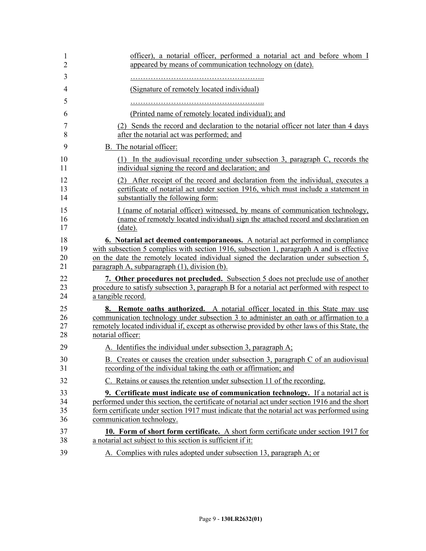| 1<br>$\overline{2}$  | officer), a notarial officer, performed a notarial act and before whom I<br>appeared by means of communication technology on (date).                                                                                                                                                                                 |
|----------------------|----------------------------------------------------------------------------------------------------------------------------------------------------------------------------------------------------------------------------------------------------------------------------------------------------------------------|
| 3                    |                                                                                                                                                                                                                                                                                                                      |
| $\overline{4}$       | (Signature of remotely located individual)                                                                                                                                                                                                                                                                           |
| 5                    |                                                                                                                                                                                                                                                                                                                      |
| 6                    | (Printed name of remotely located individual); and                                                                                                                                                                                                                                                                   |
| 7                    | (2) Sends the record and declaration to the notarial officer not later than 4 days                                                                                                                                                                                                                                   |
| 8                    | after the notarial act was performed; and                                                                                                                                                                                                                                                                            |
| 9                    | B. The notarial officer:                                                                                                                                                                                                                                                                                             |
| 10<br>11             | (1) In the audiovisual recording under subsection 3, paragraph C, records the<br>individual signing the record and declaration; and                                                                                                                                                                                  |
| 12<br>13<br>14       | (2) After receipt of the record and declaration from the individual, executes a<br>certificate of notarial act under section 1916, which must include a statement in<br>substantially the following form:                                                                                                            |
| 15<br>16<br>17       | I (name of notarial officer) witnessed, by means of communication technology,<br>(name of remotely located individual) sign the attached record and declaration on<br>(date).                                                                                                                                        |
| 18<br>19<br>20<br>21 | 6. Notarial act deemed contemporaneous. A notarial act performed in compliance<br>with subsection 5 complies with section 1916, subsection 1, paragraph A and is effective<br>on the date the remotely located individual signed the declaration under subsection 5,<br>paragraph A, subparagraph (1), division (b). |
| 22<br>23<br>24       | 7. Other procedures not precluded. Subsection 5 does not preclude use of another<br>procedure to satisfy subsection 3, paragraph B for a notarial act performed with respect to<br>a tangible record.                                                                                                                |
| 25<br>26<br>27<br>28 | 8. Remote oaths authorized. A notarial officer located in this State may use<br>communication technology under subsection 3 to administer an oath or affirmation to a<br>remotely located individual if, except as otherwise provided by other laws of this State, the<br>notarial officer:                          |
| 29                   | A. Identifies the individual under subsection 3, paragraph A;                                                                                                                                                                                                                                                        |
| 30<br>31             | B. Creates or causes the creation under subsection 3, paragraph C of an audiovisual<br>recording of the individual taking the oath or affirmation; and                                                                                                                                                               |
| 32                   | C. Retains or causes the retention under subsection 11 of the recording.                                                                                                                                                                                                                                             |
| 33                   | 9. Certificate must indicate use of communication technology. If a notarial act is                                                                                                                                                                                                                                   |
| 34<br>35<br>36       | performed under this section, the certificate of notarial act under section 1916 and the short<br>form certificate under section 1917 must indicate that the notarial act was performed using<br>communication technology.                                                                                           |
| 37                   | 10. Form of short form certificate. A short form certificate under section 1917 for                                                                                                                                                                                                                                  |
| 38                   | a notarial act subject to this section is sufficient if it:                                                                                                                                                                                                                                                          |
| 39                   | A. Complies with rules adopted under subsection 13, paragraph A; or                                                                                                                                                                                                                                                  |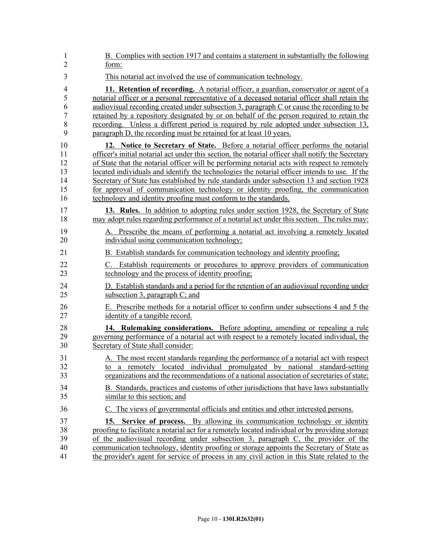| 1              | B. Complies with section 1917 and contains a statement in substantially the following              |
|----------------|----------------------------------------------------------------------------------------------------|
| $\overline{2}$ | form:                                                                                              |
| 3              | This notarial act involved the use of communication technology.                                    |
| $\overline{4}$ | 11. Retention of recording. A notarial officer, a guardian, conservator or agent of a              |
| 5              | notarial officer or a personal representative of a deceased notarial officer shall retain the      |
| 6              | audiovisual recording created under subsection 3, paragraph C or cause the recording to be         |
| 7              | retained by a repository designated by or on behalf of the person required to retain the           |
| 8              | recording. Unless a different period is required by rule adopted under subsection 13,              |
| 9              | paragraph D, the recording must be retained for at least 10 years.                                 |
| 10             | 12. Notice to Secretary of State. Before a notarial officer performs the notarial                  |
| 11             | officer's initial notarial act under this section, the notarial officer shall notify the Secretary |
| 12             | of State that the notarial officer will be performing notarial acts with respect to remotely       |
| 13             | located individuals and identify the technologies the notarial officer intends to use. If the      |
| 14             | Secretary of State has established by rule standards under subsection 13 and section 1928          |
| 15             | for approval of communication technology or identity proofing, the communication                   |
| 16             | technology and identity proofing must conform to the standards.                                    |
| 17             | 13. Rules. In addition to adopting rules under section 1928, the Secretary of State                |
| 18             | may adopt rules regarding performance of a notarial act under this section. The rules may:         |
| 19             | A. Prescribe the means of performing a notarial act involving a remotely located                   |
| 20             | individual using communication technology;                                                         |
| 21             | B. Establish standards for communication technology and identity proofing;                         |
| 22             | C. Establish requirements or procedures to approve providers of communication                      |
| 23             | technology and the process of identity proofing.                                                   |
| 24             | D. Establish standards and a period for the retention of an audiovisual recording under            |
| 25             | subsection 3, paragraph C; and                                                                     |
| 26             | E. Prescribe methods for a notarial officer to confirm under subsections 4 and 5 the               |
| 27             | identity of a tangible record.                                                                     |
| 28             | 14. Rulemaking considerations. Before adopting, amending or repealing a rule                       |
| 29             | governing performance of a notarial act with respect to a remotely located individual, the         |
| 30             | Secretary of State shall consider:                                                                 |
| 31             | A. The most recent standards regarding the performance of a notarial act with respect              |
| 32             | to a remotely located individual promulgated by national standard-setting                          |
| 33             | organizations and the recommendations of a national association of secretaries of state;           |
| 34             | B. Standards, practices and customs of other jurisdictions that have laws substantially            |
| 35             | similar to this section; and                                                                       |
| 36             | C. The views of governmental officials and entities and other interested persons.                  |
| 37             | 15. Service of process. By allowing its communication technology or identity                       |
| 38             | proofing to facilitate a notarial act for a remotely located individual or by providing storage    |
| 39             | of the audiovisual recording under subsection 3, paragraph C, the provider of the                  |
| 40             | communication technology, identity proofing or storage appoints the Secretary of State as          |
| 41             | the provider's agent for service of process in any civil action in this State related to the       |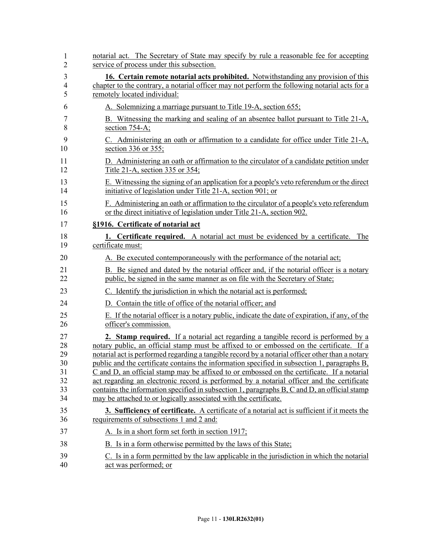| 1              | notarial act. The Secretary of State may specify by rule a reasonable fee for accepting             |
|----------------|-----------------------------------------------------------------------------------------------------|
| $\overline{2}$ | service of process under this subsection.                                                           |
| 3              | <b>16. Certain remote notarial acts prohibited.</b> Notwithstanding any provision of this           |
| 4              | chapter to the contrary, a notarial officer may not perform the following notarial acts for a       |
| 5              | remotely located individual:                                                                        |
| 6              | A. Solemnizing a marriage pursuant to Title 19-A, section 655;                                      |
| 7              | B. Witnessing the marking and sealing of an absentee ballot pursuant to Title 21-A,                 |
| 8              | section 754-A;                                                                                      |
| 9              | C. Administering an oath or affirmation to a candidate for office under Title 21-A,                 |
| 10             | section 336 or 355;                                                                                 |
| 11             | D. Administering an oath or affirmation to the circulator of a candidate petition under             |
| 12             | Title 21-A, section 335 or 354;                                                                     |
| 13             | E. Witnessing the signing of an application for a people's veto referendum or the direct            |
| 14             | initiative of legislation under Title 21-A, section 901; or                                         |
| 15             | F. Administering an oath or affirmation to the circulator of a people's veto referendum             |
| 16             | or the direct initiative of legislation under Title 21-A, section 902.                              |
| 17             | §1916. Certificate of notarial act                                                                  |
| 18             | 1. Certificate required. A notarial act must be evidenced by a certificate. The                     |
| 19             | certificate must:                                                                                   |
| 20             | A. Be executed contemporaneously with the performance of the notarial act;                          |
| 21             | B. Be signed and dated by the notarial officer and, if the notarial officer is a notary             |
| 22             | public, be signed in the same manner as on file with the Secretary of State;                        |
| 23             | C. Identify the jurisdiction in which the notarial act is performed;                                |
| 24             | D. Contain the title of office of the notarial officer; and                                         |
| 25             | E. If the notarial officer is a notary public, indicate the date of expiration, if any, of the      |
| 26             | officer's commission.                                                                               |
| 27             | <b>2. Stamp required.</b> If a notarial act regarding a tangible record is performed by a           |
| 28             | notary public, an official stamp must be affixed to or embossed on the certificate. If a            |
| 29             | notarial act is performed regarding a tangible record by a notarial officer other than a notary     |
| 30             | public and the certificate contains the information specified in subsection 1, paragraphs B,        |
| 31             | C and D, an official stamp may be affixed to or embossed on the certificate. If a notarial          |
| 32             | act regarding an electronic record is performed by a notarial officer and the certificate           |
| 33             | contains the information specified in subsection 1, paragraphs B, C and D, an official stamp        |
| 34             | may be attached to or logically associated with the certificate.                                    |
| 35             | <b>3. Sufficiency of certificate.</b> A certificate of a notarial act is sufficient if it meets the |
| 36             | requirements of subsections 1 and 2 and:                                                            |
| 37             | A. Is in a short form set forth in section 1917;                                                    |
| 38             | B. Is in a form otherwise permitted by the laws of this State;                                      |
| 39             | C. Is in a form permitted by the law applicable in the jurisdiction in which the notarial           |
| 40             | act was performed; or                                                                               |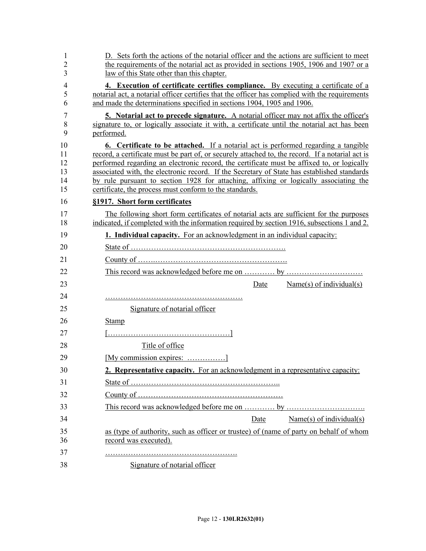| 1<br>2<br>3                      | D. Sets forth the actions of the notarial officer and the actions are sufficient to meet<br>the requirements of the notarial act as provided in sections 1905, 1906 and 1907 or a<br>law of this State other than this chapter.                                                                                                                                                                                                                                                                                                                |
|----------------------------------|------------------------------------------------------------------------------------------------------------------------------------------------------------------------------------------------------------------------------------------------------------------------------------------------------------------------------------------------------------------------------------------------------------------------------------------------------------------------------------------------------------------------------------------------|
| 4<br>5<br>6                      | 4. Execution of certificate certifies compliance. By executing a certificate of a<br>notarial act, a notarial officer certifies that the officer has complied with the requirements<br>and made the determinations specified in sections 1904, 1905 and 1906.                                                                                                                                                                                                                                                                                  |
| 7<br>8<br>9                      | <b>5.</b> Notarial act to precede signature. A notarial officer may not affix the officer's<br>signature to, or logically associate it with, a certificate until the notarial act has been<br>performed.                                                                                                                                                                                                                                                                                                                                       |
| 10<br>11<br>12<br>13<br>14<br>15 | <b>6.</b> Certificate to be attached. If a notarial act is performed regarding a tangible<br>record, a certificate must be part of, or securely attached to, the record. If a notarial act is<br>performed regarding an electronic record, the certificate must be affixed to, or logically<br>associated with, the electronic record. If the Secretary of State has established standards<br>by rule pursuant to section 1928 for attaching, affixing or logically associating the<br>certificate, the process must conform to the standards. |
| 16                               | §1917. Short form certificates                                                                                                                                                                                                                                                                                                                                                                                                                                                                                                                 |
| 17<br>18                         | The following short form certificates of notarial acts are sufficient for the purposes<br>indicated, if completed with the information required by section 1916, subsections 1 and 2.                                                                                                                                                                                                                                                                                                                                                          |
| 19                               | 1. Individual capacity. For an acknowledgment in an individual capacity:                                                                                                                                                                                                                                                                                                                                                                                                                                                                       |
| 20                               |                                                                                                                                                                                                                                                                                                                                                                                                                                                                                                                                                |
| 21                               |                                                                                                                                                                                                                                                                                                                                                                                                                                                                                                                                                |
| 22                               |                                                                                                                                                                                                                                                                                                                                                                                                                                                                                                                                                |
| 23                               | Name(s) of individual(s)<br>Date                                                                                                                                                                                                                                                                                                                                                                                                                                                                                                               |
| 24                               |                                                                                                                                                                                                                                                                                                                                                                                                                                                                                                                                                |
| 25                               | Signature of notarial officer                                                                                                                                                                                                                                                                                                                                                                                                                                                                                                                  |
| 26                               | Stamp                                                                                                                                                                                                                                                                                                                                                                                                                                                                                                                                          |
| 27                               |                                                                                                                                                                                                                                                                                                                                                                                                                                                                                                                                                |
| 28                               | Title of office                                                                                                                                                                                                                                                                                                                                                                                                                                                                                                                                |
| 29                               | [My commission expires: ]                                                                                                                                                                                                                                                                                                                                                                                                                                                                                                                      |
| 30                               | 2. Representative capacity. For an acknowledgment in a representative capacity:                                                                                                                                                                                                                                                                                                                                                                                                                                                                |
| 31                               |                                                                                                                                                                                                                                                                                                                                                                                                                                                                                                                                                |
| 32                               |                                                                                                                                                                                                                                                                                                                                                                                                                                                                                                                                                |
| 33                               |                                                                                                                                                                                                                                                                                                                                                                                                                                                                                                                                                |
| 34                               | Name(s) of individual(s)<br>Date                                                                                                                                                                                                                                                                                                                                                                                                                                                                                                               |
| 35                               | as (type of authority, such as officer or trustee) of (name of party on behalf of whom                                                                                                                                                                                                                                                                                                                                                                                                                                                         |
| 36                               | record was executed).                                                                                                                                                                                                                                                                                                                                                                                                                                                                                                                          |
| 37                               |                                                                                                                                                                                                                                                                                                                                                                                                                                                                                                                                                |
| 38                               | Signature of notarial officer                                                                                                                                                                                                                                                                                                                                                                                                                                                                                                                  |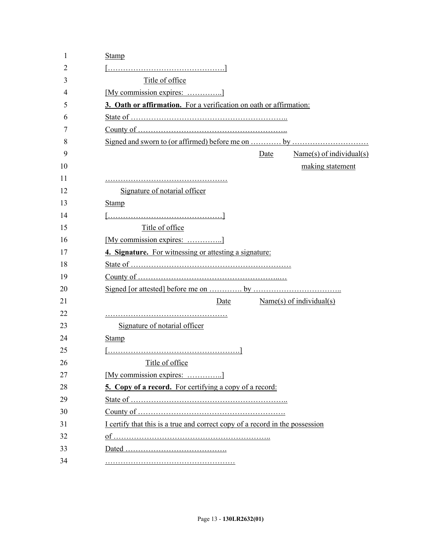| 1  | Stamp                                                                        |
|----|------------------------------------------------------------------------------|
| 2  |                                                                              |
| 3  | Title of office                                                              |
| 4  | [My commission expires: ]                                                    |
| 5  | 3. Oath or affirmation. For a verification on oath or affirmation:           |
| 6  |                                                                              |
| 7  |                                                                              |
| 8  |                                                                              |
| 9  | Name(s) of individual(s)<br>Date                                             |
| 10 | making statement                                                             |
| 11 |                                                                              |
| 12 | Signature of notarial officer                                                |
| 13 | <b>Stamp</b>                                                                 |
| 14 |                                                                              |
| 15 | Title of office                                                              |
| 16 | [My commission expires: ]                                                    |
| 17 | 4. Signature. For witnessing or attesting a signature:                       |
| 18 |                                                                              |
| 19 |                                                                              |
| 20 |                                                                              |
| 21 | Name(s) of individual(s)<br>Date                                             |
| 22 |                                                                              |
| 23 | Signature of notarial officer                                                |
| 24 | <b>Stamp</b>                                                                 |
| 25 |                                                                              |
| 26 | Title of office                                                              |
| 27 | [My commission expires: ]                                                    |
| 28 | <b>5. Copy of a record.</b> For certifying a copy of a record:               |
| 29 |                                                                              |
| 30 |                                                                              |
| 31 | I certify that this is a true and correct copy of a record in the possession |
| 32 |                                                                              |
| 33 |                                                                              |
| 34 |                                                                              |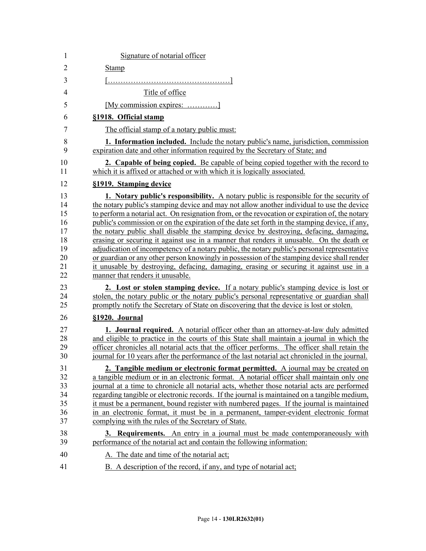| 1                                                        | Signature of notarial officer                                                                                                                                                                                                                                                                                                                                                                                                                                                                                                                                                                                                                                                                                                                                                                                                                                                                                     |
|----------------------------------------------------------|-------------------------------------------------------------------------------------------------------------------------------------------------------------------------------------------------------------------------------------------------------------------------------------------------------------------------------------------------------------------------------------------------------------------------------------------------------------------------------------------------------------------------------------------------------------------------------------------------------------------------------------------------------------------------------------------------------------------------------------------------------------------------------------------------------------------------------------------------------------------------------------------------------------------|
| $\overline{2}$                                           | <b>Stamp</b>                                                                                                                                                                                                                                                                                                                                                                                                                                                                                                                                                                                                                                                                                                                                                                                                                                                                                                      |
| 3                                                        |                                                                                                                                                                                                                                                                                                                                                                                                                                                                                                                                                                                                                                                                                                                                                                                                                                                                                                                   |
| 4                                                        | Title of office                                                                                                                                                                                                                                                                                                                                                                                                                                                                                                                                                                                                                                                                                                                                                                                                                                                                                                   |
| 5                                                        | [My commission expires: ]                                                                                                                                                                                                                                                                                                                                                                                                                                                                                                                                                                                                                                                                                                                                                                                                                                                                                         |
| 6                                                        | §1918. Official stamp                                                                                                                                                                                                                                                                                                                                                                                                                                                                                                                                                                                                                                                                                                                                                                                                                                                                                             |
| 7                                                        | The official stamp of a notary public must:                                                                                                                                                                                                                                                                                                                                                                                                                                                                                                                                                                                                                                                                                                                                                                                                                                                                       |
| 8<br>9                                                   | <b>1. Information included.</b> Include the notary public's name, jurisdiction, commission<br>expiration date and other information required by the Secretary of State; and                                                                                                                                                                                                                                                                                                                                                                                                                                                                                                                                                                                                                                                                                                                                       |
| 10<br>11                                                 | <b>2. Capable of being copied.</b> Be capable of being copied together with the record to<br>which it is affixed or attached or with which it is logically associated.                                                                                                                                                                                                                                                                                                                                                                                                                                                                                                                                                                                                                                                                                                                                            |
| 12                                                       | §1919. Stamping device                                                                                                                                                                                                                                                                                                                                                                                                                                                                                                                                                                                                                                                                                                                                                                                                                                                                                            |
| 13<br>14<br>15<br>16<br>17<br>18<br>19<br>20<br>21<br>22 | <b>1.</b> Notary public's responsibility. A notary public is responsible for the security of<br>the notary public's stamping device and may not allow another individual to use the device<br>to perform a notarial act. On resignation from, or the revocation or expiration of, the notary<br>public's commission or on the expiration of the date set forth in the stamping device, if any,<br>the notary public shall disable the stamping device by destroying, defacing, damaging,<br>erasing or securing it against use in a manner that renders it unusable. On the death or<br>adjudication of incompetency of a notary public, the notary public's personal representative<br>or guardian or any other person knowingly in possession of the stamping device shall render<br>it unusable by destroying, defacing, damaging, erasing or securing it against use in a<br>manner that renders it unusable. |
| 23<br>24<br>25                                           | 2. Lost or stolen stamping device. If a notary public's stamping device is lost or<br>stolen, the notary public or the notary public's personal representative or guardian shall<br>promptly notify the Secretary of State on discovering that the device is lost or stolen.                                                                                                                                                                                                                                                                                                                                                                                                                                                                                                                                                                                                                                      |
| 26                                                       | §1920. Journal                                                                                                                                                                                                                                                                                                                                                                                                                                                                                                                                                                                                                                                                                                                                                                                                                                                                                                    |
| 27<br>28<br>29<br>30                                     | <b>1. Journal required.</b> A notarial officer other than an attorney-at-law duly admitted<br>and eligible to practice in the courts of this State shall maintain a journal in which the<br>officer chronicles all notarial acts that the officer performs. The officer shall retain the<br>journal for 10 years after the performance of the last notarial act chronicled in the journal.                                                                                                                                                                                                                                                                                                                                                                                                                                                                                                                        |
| 31<br>32<br>33<br>34<br>35<br>36<br>37                   | 2. Tangible medium or electronic format permitted. A journal may be created on<br>a tangible medium or in an electronic format. A notarial officer shall maintain only one<br>journal at a time to chronicle all notarial acts, whether those notarial acts are performed<br>regarding tangible or electronic records. If the journal is maintained on a tangible medium,<br>it must be a permanent, bound register with numbered pages. If the journal is maintained<br>in an electronic format, it must be in a permanent, tamper-evident electronic format<br>complying with the rules of the Secretary of State.                                                                                                                                                                                                                                                                                              |
| 38<br>39                                                 | <b>3. Requirements.</b> An entry in a journal must be made contemporaneously with<br>performance of the notarial act and contain the following information:                                                                                                                                                                                                                                                                                                                                                                                                                                                                                                                                                                                                                                                                                                                                                       |
| 40                                                       | A. The date and time of the notarial act;                                                                                                                                                                                                                                                                                                                                                                                                                                                                                                                                                                                                                                                                                                                                                                                                                                                                         |
| 41                                                       | B. A description of the record, if any, and type of notarial act;                                                                                                                                                                                                                                                                                                                                                                                                                                                                                                                                                                                                                                                                                                                                                                                                                                                 |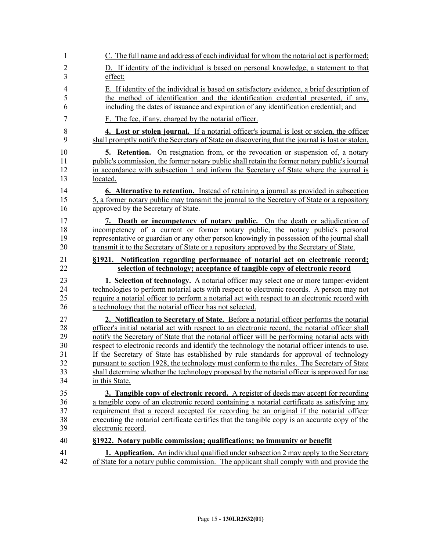| 1              | C. The full name and address of each individual for whom the notarial act is performed;                                                                                                      |
|----------------|----------------------------------------------------------------------------------------------------------------------------------------------------------------------------------------------|
| $\overline{2}$ | D. If identity of the individual is based on personal knowledge, a statement to that                                                                                                         |
| 3              | effect;                                                                                                                                                                                      |
| $\overline{4}$ | E. If identity of the individual is based on satisfactory evidence, a brief description of                                                                                                   |
| 5              | the method of identification and the identification credential presented, if any,                                                                                                            |
| 6              | including the dates of issuance and expiration of any identification credential; and                                                                                                         |
| $\overline{7}$ | F. The fee, if any, charged by the notarial officer.                                                                                                                                         |
| 8              | 4. Lost or stolen journal. If a notarial officer's journal is lost or stolen, the officer                                                                                                    |
| 9              | shall promptly notify the Secretary of State on discovering that the journal is lost or stolen.                                                                                              |
| 10             | <b>5. Retention.</b> On resignation from, or the revocation or suspension of, a notary                                                                                                       |
| 11             | public's commission, the former notary public shall retain the former notary public's journal                                                                                                |
| 12<br>13       | in accordance with subsection 1 and inform the Secretary of State where the journal is<br>located.                                                                                           |
| 14             |                                                                                                                                                                                              |
| 15             | <b>6.</b> Alternative to retention. Instead of retaining a journal as provided in subsection<br>5, a former notary public may transmit the journal to the Secretary of State or a repository |
| 16             | approved by the Secretary of State.                                                                                                                                                          |
| 17             | 7. Death or incompetency of notary public. On the death or adjudication of                                                                                                                   |
| 18             | incompetency of a current or former notary public, the notary public's personal                                                                                                              |
| 19             | representative or guardian or any other person knowingly in possession of the journal shall                                                                                                  |
| 20             | transmit it to the Secretary of State or a repository approved by the Secretary of State.                                                                                                    |
| 21             | §1921. Notification regarding performance of notarial act on electronic record;                                                                                                              |
| 22             | selection of technology; acceptance of tangible copy of electronic record                                                                                                                    |
| 23             | 1. Selection of technology. A notarial officer may select one or more tamper-evident                                                                                                         |
| 24             | technologies to perform notarial acts with respect to electronic records. A person may not                                                                                                   |
| 25<br>26       | require a notarial officer to perform a notarial act with respect to an electronic record with<br>a technology that the notarial officer has not selected.                                   |
| 27             | 2. Notification to Secretary of State. Before a notarial officer performs the notarial                                                                                                       |
| 28             | officer's initial notarial act with respect to an electronic record, the notarial officer shall                                                                                              |
| 29             | notify the Secretary of State that the notarial officer will be performing notarial acts with                                                                                                |
| 30             | respect to electronic records and identify the technology the notarial officer intends to use.                                                                                               |
| 31             | If the Secretary of State has established by rule standards for approval of technology                                                                                                       |
| 32             | pursuant to section 1928, the technology must conform to the rules. The Secretary of State                                                                                                   |
| 33<br>34       | shall determine whether the technology proposed by the notarial officer is approved for use<br>in this State.                                                                                |
| 35             | <b>3. Tangible copy of electronic record.</b> A register of deeds may accept for recording                                                                                                   |
| 36             | a tangible copy of an electronic record containing a notarial certificate as satisfying any                                                                                                  |
| 37             | requirement that a record accepted for recording be an original if the notarial officer                                                                                                      |
|                |                                                                                                                                                                                              |
| 38             | executing the notarial certificate certifies that the tangible copy is an accurate copy of the                                                                                               |
| 39             | electronic record.                                                                                                                                                                           |
| 40             | §1922. Notary public commission; qualifications; no immunity or benefit                                                                                                                      |
| 41<br>42       | <b>1. Application.</b> An individual qualified under subsection 2 may apply to the Secretary<br>of State for a notary public commission. The applicant shall comply with and provide the     |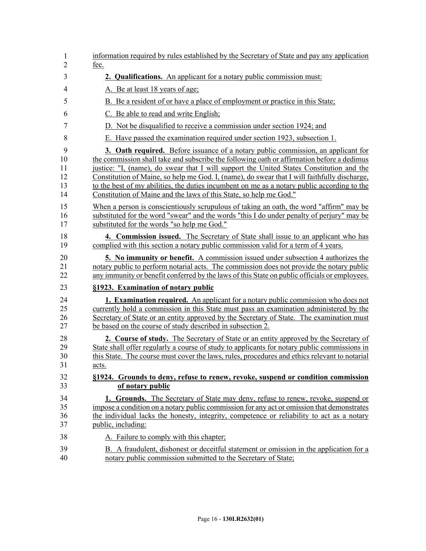| 1              | information required by rules established by the Secretary of State and pay any application   |
|----------------|-----------------------------------------------------------------------------------------------|
| $\overline{2}$ | fee.                                                                                          |
| 3              | 2. Qualifications. An applicant for a notary public commission must:                          |
| $\overline{4}$ | A. Be at least 18 years of age;                                                               |
| 5              | B. Be a resident of or have a place of employment or practice in this State;                  |
| 6              | C. Be able to read and write English;                                                         |
| $\tau$         | D. Not be disqualified to receive a commission under section 1924; and                        |
| 8              | E. Have passed the examination required under section 1923, subsection 1.                     |
| 9              | <b>3. Oath required.</b> Before issuance of a notary public commission, an applicant for      |
| 10             | the commission shall take and subscribe the following oath or affirmation before a dedimus    |
| 11             | justice: "I, (name), do swear that I will support the United States Constitution and the      |
| 12             | Constitution of Maine, so help me God. I, (name), do swear that I will faithfully discharge,  |
| 13             | to the best of my abilities, the duties incumbent on me as a notary public according to the   |
| 14             | Constitution of Maine and the laws of this State, so help me God."                            |
| 15             | When a person is conscientiously scrupulous of taking an oath, the word "affirm" may be       |
| 16             | substituted for the word "swear" and the words "this I do under penalty of perjury" may be    |
| 17             | substituted for the words "so help me God."                                                   |
| 18             | 4. Commission issued. The Secretary of State shall issue to an applicant who has              |
| 19             | complied with this section a notary public commission valid for a term of 4 years.            |
| 20             | <b>5.</b> No immunity or benefit. A commission issued under subsection 4 authorizes the       |
| 21             | notary public to perform notarial acts. The commission does not provide the notary public     |
| 22             | any immunity or benefit conferred by the laws of this State on public officials or employees. |
| 23             | §1923. Examination of notary public                                                           |
| 24             | <b>1. Examination required.</b> An applicant for a notary public commission who does not      |
| 25             | currently hold a commission in this State must pass an examination administered by the        |
| 26             | Secretary of State or an entity approved by the Secretary of State. The examination must      |
| 27             | be based on the course of study described in subsection 2.                                    |
| 28             | 2. Course of study. The Secretary of State or an entity approved by the Secretary of          |
| 29             | State shall offer regularly a course of study to applicants for notary public commissions in  |
| 30             | this State. The course must cover the laws, rules, procedures and ethics relevant to notarial |
| 31             | acts.                                                                                         |
| 32             | §1924. Grounds to deny, refuse to renew, revoke, suspend or condition commission              |
| 33             | of notary public                                                                              |
| 34             | 1. Grounds. The Secretary of State may deny, refuse to renew, revoke, suspend or              |
| 35             | impose a condition on a notary public commission for any act or omission that demonstrates    |
| 36             | the individual lacks the honesty, integrity, competence or reliability to act as a notary     |
| 37             | public, including:                                                                            |
| 38             | A. Failure to comply with this chapter;                                                       |
| 39             | B. A fraudulent, dishonest or deceitful statement or omission in the application for a        |
| 40             | notary public commission submitted to the Secretary of State;                                 |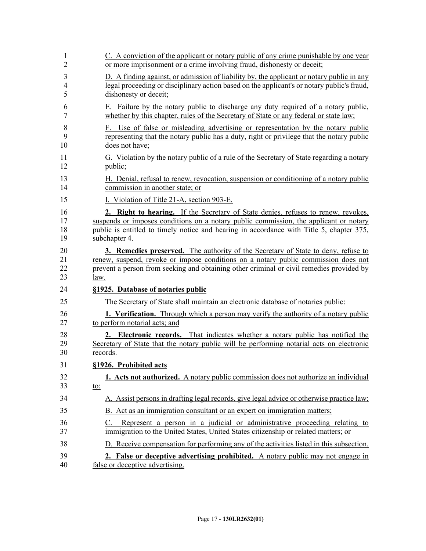| 1        | C. A conviction of the applicant or notary public of any crime punishable by one year                                                                                          |
|----------|--------------------------------------------------------------------------------------------------------------------------------------------------------------------------------|
| 2        | or more imprisonment or a crime involving fraud, dishonesty or deceit;                                                                                                         |
| 3        | D. A finding against, or admission of liability by, the applicant or notary public in any                                                                                      |
| 4        | legal proceeding or disciplinary action based on the applicant's or notary public's fraud,                                                                                     |
| 5        | dishonesty or deceit;                                                                                                                                                          |
| 6        | E. Failure by the notary public to discharge any duty required of a notary public,                                                                                             |
| 7        | whether by this chapter, rules of the Secretary of State or any federal or state law;                                                                                          |
| 8        | F. Use of false or misleading advertising or representation by the notary public                                                                                               |
| 9        | representing that the notary public has a duty, right or privilege that the notary public                                                                                      |
| 10       | does not have;                                                                                                                                                                 |
| 11       | G. Violation by the notary public of a rule of the Secretary of State regarding a notary                                                                                       |
| 12       | public;                                                                                                                                                                        |
| 13       | H. Denial, refusal to renew, revocation, suspension or conditioning of a notary public                                                                                         |
| 14       | commission in another state; or                                                                                                                                                |
| 15       | I. Violation of Title 21-A, section 903-E.                                                                                                                                     |
| 16       | 2. Right to hearing. If the Secretary of State denies, refuses to renew, revokes,                                                                                              |
| 17       | suspends or imposes conditions on a notary public commission, the applicant or notary                                                                                          |
| 18       | public is entitled to timely notice and hearing in accordance with Title 5, chapter 375,                                                                                       |
| 19       | subchapter 4.                                                                                                                                                                  |
| 20       | <b>3. Remedies preserved.</b> The authority of the Secretary of State to deny, refuse to                                                                                       |
| 21       | renew, suspend, revoke or impose conditions on a notary public commission does not                                                                                             |
| 22       | prevent a person from seeking and obtaining other criminal or civil remedies provided by                                                                                       |
| 23       | law.                                                                                                                                                                           |
| 24       | §1925. Database of notaries public                                                                                                                                             |
| 25       | The Secretary of State shall maintain an electronic database of notaries public:                                                                                               |
| 26       | <b>1. Verification.</b> Through which a person may verify the authority of a notary public                                                                                     |
| 27       | to perform notarial acts; and                                                                                                                                                  |
| 28       | 2. Electronic records. That indicates whether a notary public has notified the                                                                                                 |
| 29       | Secretary of State that the notary public will be performing notarial acts on electronic                                                                                       |
| 30       | records.                                                                                                                                                                       |
| 31       | §1926. Prohibited acts                                                                                                                                                         |
| 32       | 1. Acts not authorized. A notary public commission does not authorize an individual                                                                                            |
| 33       | <u>to:</u>                                                                                                                                                                     |
| 34       | A. Assist persons in drafting legal records, give legal advice or otherwise practice law;                                                                                      |
| 35       | B. Act as an immigration consultant or an expert on immigration matters;                                                                                                       |
| 36<br>37 | Represent a person in a judicial or administrative proceeding relating to<br>$C_{\cdot}$<br>immigration to the United States, United States citizenship or related matters; or |
| 38       | D. Receive compensation for performing any of the activities listed in this subsection.                                                                                        |
| 39       | 2. False or deceptive advertising prohibited. A notary public may not engage in                                                                                                |
| 40       | false or deceptive advertising.                                                                                                                                                |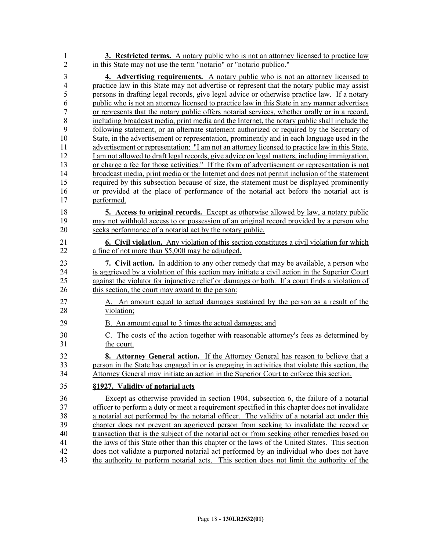1 **3. Restricted terms.** A notary public who is not an attorney licensed to practice law 2 in this State may not use the term "notario" or "notario publico."

3 **4. Advertising requirements.** A notary public who is not an attorney licensed to 4 practice law in this State may not advertise or represent that the notary public may assist 5 persons in drafting legal records, give legal advice or otherwise practice law. If a notary 6 public who is not an attorney licensed to practice law in this State in any manner advertises 7 or represents that the notary public offers notarial services, whether orally or in a record, 8 including broadcast media, print media and the Internet, the notary public shall include the 9 following statement, or an alternate statement authorized or required by the Secretary of 10 State, in the advertisement or representation, prominently and in each language used in the 11 advertisement or representation: "I am not an attorney licensed to practice law in this State. 12 I am not allowed to draft legal records, give advice on legal matters, including immigration, 13 or charge a fee for those activities." If the form of advertisement or representation is not 14 broadcast media, print media or the Internet and does not permit inclusion of the statement 15 required by this subsection because of size, the statement must be displayed prominently 16 or provided at the place of performance of the notarial act before the notarial act is 17 performed.

- 18 **5. Access to original records.** Except as otherwise allowed by law, a notary public 19 may not withhold access to or possession of an original record provided by a person who 20 seeks performance of a notarial act by the notary public.
- 21 **6. Civil violation.** Any violation of this section constitutes a civil violation for which 22 a fine of not more than \$5,000 may be adjudged.

23 **7. Civil action.** In addition to any other remedy that may be available, a person who 24 is aggrieved by a violation of this section may initiate a civil action in the Superior Court 25 against the violator for injunctive relief or damages or both. If a court finds a violation of 26 this section, the court may award to the person:

- 27 A. An amount equal to actual damages sustained by the person as a result of the 28 violation;
- 29 B. An amount equal to 3 times the actual damages; and
- 30 C. The costs of the action together with reasonable attorney's fees as determined by 31 the court.
- 32 **8. Attorney General action.** If the Attorney General has reason to believe that a 33 person in the State has engaged in or is engaging in activities that violate this section, the 34 Attorney General may initiate an action in the Superior Court to enforce this section.

## 35 **§1927. Validity of notarial acts**

36 Except as otherwise provided in section 1904, subsection 6, the failure of a notarial 37 officer to perform a duty or meet a requirement specified in this chapter does not invalidate 38 a notarial act performed by the notarial officer. The validity of a notarial act under this 39 chapter does not prevent an aggrieved person from seeking to invalidate the record or 40 transaction that is the subject of the notarial act or from seeking other remedies based on 41 the laws of this State other than this chapter or the laws of the United States. This section 42 does not validate a purported notarial act performed by an individual who does not have 43 the authority to perform notarial acts. This section does not limit the authority of the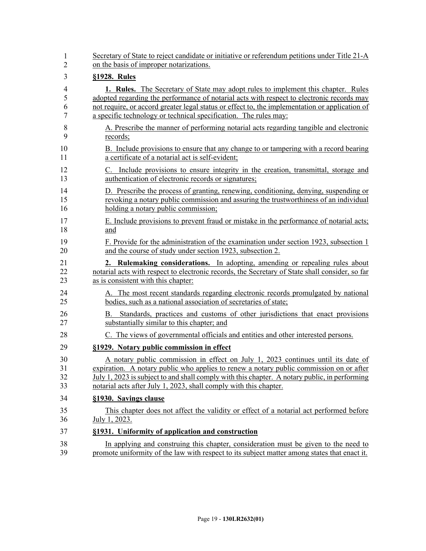| 1  | Secretary of State to reject candidate or initiative or referendum petitions under Title 21-A   |
|----|-------------------------------------------------------------------------------------------------|
| 2  | on the basis of improper notarizations.                                                         |
| 3  | §1928. Rules                                                                                    |
| 4  | <b>1. Rules.</b> The Secretary of State may adopt rules to implement this chapter. Rules        |
| 5  | adopted regarding the performance of notarial acts with respect to electronic records may       |
| 6  | not require, or accord greater legal status or effect to, the implementation or application of  |
| 7  | a specific technology or technical specification. The rules may:                                |
| 8  | A. Prescribe the manner of performing notarial acts regarding tangible and electronic           |
| 9  | records;                                                                                        |
| 10 | B. Include provisions to ensure that any change to or tampering with a record bearing           |
| 11 | a certificate of a notarial act is self-evident;                                                |
| 12 | C. Include provisions to ensure integrity in the creation, transmittal, storage and             |
| 13 | authentication of electronic records or signatures;                                             |
| 14 | D. Prescribe the process of granting, renewing, conditioning, denying, suspending or            |
| 15 | revoking a notary public commission and assuring the trustworthiness of an individual           |
| 16 | holding a notary public commission;                                                             |
| 17 | E. Include provisions to prevent fraud or mistake in the performance of notarial acts;          |
| 18 | and                                                                                             |
| 19 | F. Provide for the administration of the examination under section 1923, subsection 1           |
| 20 | and the course of study under section 1923, subsection 2.                                       |
| 21 | 2. Rulemaking considerations. In adopting, amending or repealing rules about                    |
| 22 | notarial acts with respect to electronic records, the Secretary of State shall consider, so far |
| 23 | as is consistent with this chapter:                                                             |
| 24 | A. The most recent standards regarding electronic records promulgated by national               |
| 25 | bodies, such as a national association of secretaries of state;                                 |
| 26 | B. Standards, practices and customs of other jurisdictions that enact provisions                |
| 27 | substantially similar to this chapter; and                                                      |
| 28 | C. The views of governmental officials and entities and other interested persons.               |
| 29 | §1929. Notary public commission in effect                                                       |
| 30 | A notary public commission in effect on July 1, 2023 continues until its date of                |
| 31 | expiration. A notary public who applies to renew a notary public commission on or after         |
| 32 | July 1, 2023 is subject to and shall comply with this chapter. A notary public, in performing   |
| 33 | notarial acts after July 1, 2023, shall comply with this chapter.                               |
| 34 | §1930. Savings clause                                                                           |
| 35 | This chapter does not affect the validity or effect of a notarial act performed before          |
| 36 | July 1, 2023.                                                                                   |
| 37 | §1931. Uniformity of application and construction                                               |
| 38 | In applying and construing this chapter, consideration must be given to the need to             |
| 39 | promote uniformity of the law with respect to its subject matter among states that enact it.    |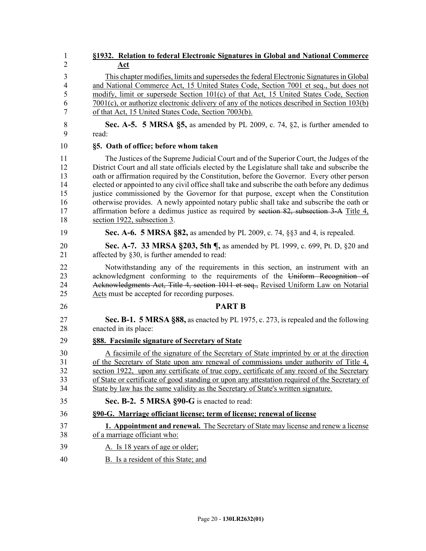| 1              | §1932. Relation to federal Electronic Signatures in Global and National Commerce               |
|----------------|------------------------------------------------------------------------------------------------|
| $\overline{2}$ | <u>Act</u>                                                                                     |
| 3              | This chapter modifies, limits and supersedes the federal Electronic Signatures in Global       |
| 4              | and National Commerce Act, 15 United States Code, Section 7001 et seq., but does not           |
| 5              | modify, limit or supersede Section 101(c) of that Act, 15 United States Code, Section          |
| 6              | $7001(c)$ , or authorize electronic delivery of any of the notices described in Section 103(b) |
| 7              | of that Act, 15 United States Code, Section 7003(b).                                           |
| 8              | Sec. A-5. 5 MRSA §5, as amended by PL 2009, c. 74, §2, is further amended to                   |
| 9              | read:                                                                                          |
| 10             | §5. Oath of office; before whom taken                                                          |
| 11             | The Justices of the Supreme Judicial Court and of the Superior Court, the Judges of the        |
| 12             | District Court and all state officials elected by the Legislature shall take and subscribe the |
| 13             | oath or affirmation required by the Constitution, before the Governor. Every other person      |
| 14             | elected or appointed to any civil office shall take and subscribe the oath before any dedimus  |
| 15             | justice commissioned by the Governor for that purpose, except when the Constitution            |
| 16             | otherwise provides. A newly appointed notary public shall take and subscribe the oath or       |
| 17             | affirmation before a dedimus justice as required by section 82, subsection 3-A Title 4,        |
| 18             | section 1922, subsection 3.                                                                    |
| 19             | Sec. A-6. 5 MRSA §82, as amended by PL 2009, c. 74, §§3 and 4, is repealed.                    |
| 20             | <b>Sec. A-7. 33 MRSA §203, 5th ¶, as amended by PL 1999, c. 699, Pt. D. §20 and</b>            |
| 21             | affected by §30, is further amended to read:                                                   |
| 22             | Notwithstanding any of the requirements in this section, an instrument with an                 |
| 23             | acknowledgment conforming to the requirements of the Uniform Recognition of                    |
| 24             | Acknowledgments Act, Title 4, section 1011 et seq., Revised Uniform Law on Notarial            |
| 25             | Acts must be accepted for recording purposes.                                                  |
| 26             | <b>PART B</b>                                                                                  |
| 27             | Sec. B-1. 5 MRSA §88, as enacted by PL 1975, c. 273, is repealed and the following             |
| 28             | enacted in its place:                                                                          |
| 29             | §88. Facsimile signature of Secretary of State                                                 |
| 30             | A facsimile of the signature of the Secretary of State imprinted by or at the direction        |
| 31             | of the Secretary of State upon any renewal of commissions under authority of Title 4,          |
| 32             | section 1922, upon any certificate of true copy, certificate of any record of the Secretary    |
| 33             | of State or certificate of good standing or upon any attestation required of the Secretary of  |
| 34             | State by law has the same validity as the Secretary of State's written signature.              |
| 35             | Sec. B-2. 5 MRSA §90-G is enacted to read:                                                     |
| 36             | §90-G. Marriage officiant license; term of license; renewal of license                         |
| 37             | <b>1. Appointment and renewal.</b> The Secretary of State may license and renew a license      |
| 38             | of a marriage officiant who:                                                                   |
| 39             | A. Is 18 years of age or older;                                                                |
| 40             | B. Is a resident of this State; and                                                            |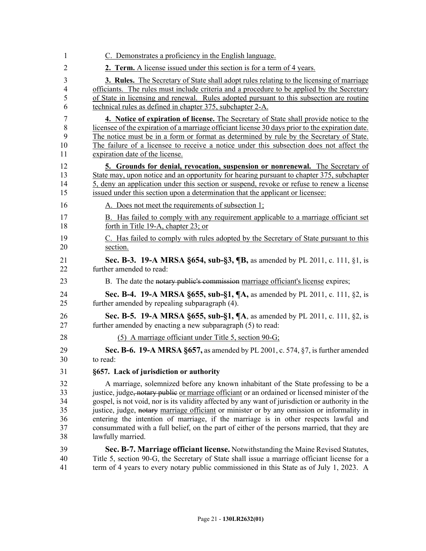| 1              | C. Demonstrates a proficiency in the English language.                                                     |
|----------------|------------------------------------------------------------------------------------------------------------|
| $\overline{2}$ | 2. Term. A license issued under this section is for a term of 4 years.                                     |
| 3              | <b>3. Rules.</b> The Secretary of State shall adopt rules relating to the licensing of marriage            |
| $\overline{4}$ | officiants. The rules must include criteria and a procedure to be applied by the Secretary                 |
| 5              | of State in licensing and renewal. Rules adopted pursuant to this subsection are routine                   |
| 6              | technical rules as defined in chapter 375, subchapter 2-A.                                                 |
| $\overline{7}$ | 4. Notice of expiration of license. The Secretary of State shall provide notice to the                     |
| 8              | licensee of the expiration of a marriage officiant license 30 days prior to the expiration date.           |
| 9              | The notice must be in a form or format as determined by rule by the Secretary of State.                    |
| 10             | The failure of a licensee to receive a notice under this subsection does not affect the                    |
| 11             | expiration date of the license.                                                                            |
| 12             | 5. Grounds for denial, revocation, suspension or nonrenewal. The Secretary of                              |
| 13             | State may, upon notice and an opportunity for hearing pursuant to chapter 375, subchapter                  |
| 14             | 5, deny an application under this section or suspend, revoke or refuse to renew a license                  |
| 15             | issued under this section upon a determination that the applicant or licensee:                             |
| 16             | A. Does not meet the requirements of subsection 1;                                                         |
| 17             | B. Has failed to comply with any requirement applicable to a marriage officiant set                        |
| 18             | forth in Title 19-A, chapter 23; or                                                                        |
| 19             | C. Has failed to comply with rules adopted by the Secretary of State pursuant to this                      |
| 20             | section.                                                                                                   |
| 21             | Sec. B-3. 19-A MRSA §654, sub-§3, ¶B, as amended by PL 2011, c. 111, §1, is                                |
| 22             | further amended to read:                                                                                   |
| 23             | B. The date the notary public's commission marriage officiant's license expires;                           |
| 24             | <b>Sec. B-4. 19-A MRSA §655, sub-§1, ¶A, as amended by PL 2011, c. 111, §2, is</b>                         |
| 25             | further amended by repealing subparagraph (4).                                                             |
| 26             | <b>Sec. B-5. 19-A MRSA §655, sub-§1, <math>\P</math>A</b> , as amended by PL 2011, c. 111, §2, is          |
| 27             | further amended by enacting a new subparagraph (5) to read:                                                |
| 28             | (5) A marriage officiant under Title 5, section $90-G$ ;                                                   |
| 29             | Sec. B-6. 19-A MRSA §657, as amended by PL 2001, c. 574, §7, is further amended                            |
| 30             | to read.                                                                                                   |
| 31             | §657. Lack of jurisdiction or authority                                                                    |
| 32             | A marriage, solemnized before any known inhabitant of the State professing to be a                         |
| 33             | justice, judge <del>, notary public</del> or marriage officiant or an ordained or licensed minister of the |
| 34             | gospel, is not void, nor is its validity affected by any want of jurisdiction or authority in the          |
| 35             | justice, judge, notary marriage officiant or minister or by any omission or informality in                 |
| 36             | entering the intention of marriage, if the marriage is in other respects lawful and                        |
| 37             | consummated with a full belief, on the part of either of the persons married, that they are                |
| 38             | lawfully married.                                                                                          |
| 39             | Sec. B-7. Marriage officiant license. Notwithstanding the Maine Revised Statutes,                          |
| 40             | Title 5, section 90-G, the Secretary of State shall issue a marriage officiant license for a               |
| 41             | term of 4 years to every notary public commissioned in this State as of July 1, 2023. A                    |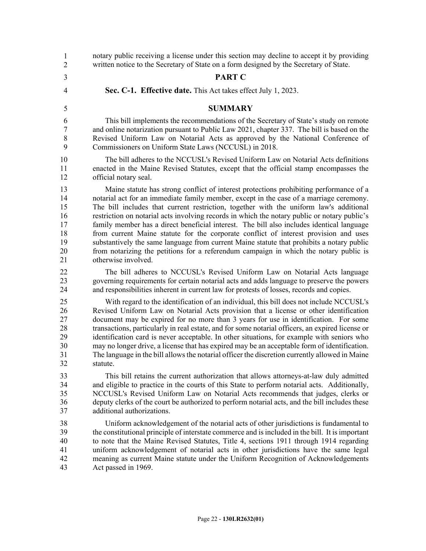notary public receiving a license under this section may decline to accept it by providing written notice to the Secretary of State on a form designed by the Secretary of State. 3 **PART C** 4 **Sec. C-1. Effective date.** This Act takes effect July 1, 2023. 5 **SUMMARY** This bill implements the recommendations of the Secretary of State's study on remote and online notarization pursuant to Public Law 2021, chapter 337. The bill is based on the 8 Revised Uniform Law on Notarial Acts as approved by the National Conference of 9 Commissioners on Uniform State Laws (NCCUSL) in 2018. 10 The bill adheres to the NCCUSL's Revised Uniform Law on Notarial Acts definitions 11 enacted in the Maine Revised Statutes, except that the official stamp encompasses the 12 official notary seal. 13 Maine statute has strong conflict of interest protections prohibiting performance of a 14 notarial act for an immediate family member, except in the case of a marriage ceremony. 15 The bill includes that current restriction, together with the uniform law's additional 16 restriction on notarial acts involving records in which the notary public or notary public's 17 family member has a direct beneficial interest. The bill also includes identical language 18 from current Maine statute for the corporate conflict of interest provision and uses 19 substantively the same language from current Maine statute that prohibits a notary public 20 from notarizing the petitions for a referendum campaign in which the notary public is 21 otherwise involved. 22 The bill adheres to NCCUSL's Revised Uniform Law on Notarial Acts language 23 governing requirements for certain notarial acts and adds language to preserve the powers 24 and responsibilities inherent in current law for protests of losses, records and copies. 25 With regard to the identification of an individual, this bill does not include NCCUSL's 26 Revised Uniform Law on Notarial Acts provision that a license or other identification<br>27 document may be expired for no more than 3 years for use in identification. For some document may be expired for no more than 3 years for use in identification. For some 28 transactions, particularly in real estate, and for some notarial officers, an expired license or 29 identification card is never acceptable. In other situations, for example with seniors who 30 may no longer drive, a license that has expired may be an acceptable form of identification. 31 The language in the bill allows the notarial officer the discretion currently allowed in Maine 32 statute. 33 This bill retains the current authorization that allows attorneys-at-law duly admitted 34 and eligible to practice in the courts of this State to perform notarial acts. Additionally, 35 NCCUSL's Revised Uniform Law on Notarial Acts recommends that judges, clerks or 36 deputy clerks of the court be authorized to perform notarial acts, and the bill includes these 37 additional authorizations. 38 Uniform acknowledgement of the notarial acts of other jurisdictions is fundamental to 39 the constitutional principle of interstate commerce and is included in the bill. It is important 40 to note that the Maine Revised Statutes, Title 4, sections 1911 through 1914 regarding 41 uniform acknowledgement of notarial acts in other jurisdictions have the same legal 42 meaning as current Maine statute under the Uniform Recognition of Acknowledgements 43 Act passed in 1969. 1 2 6 7 8 9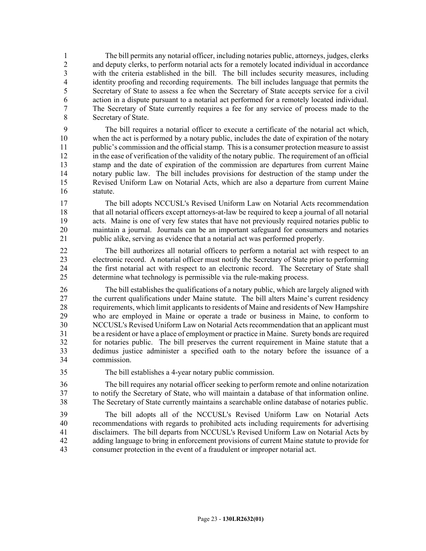1 The bill permits any notarial officer, including notaries public, attorneys, judges, clerks 2 and deputy clerks, to perform notarial acts for a remotely located individual in accordance<br>3 with the criteria established in the bill. The bill includes security measures, including with the criteria established in the bill. The bill includes security measures, including 4 identity proofing and recording requirements. The bill includes language that permits the 5 Secretary of State to assess a fee when the Secretary of State accepts service for a civil 6 action in a dispute pursuant to a notarial act performed for a remotely located individual. 7 The Secretary of State currently requires a fee for any service of process made to the 8 Secretary of State.

9 The bill requires a notarial officer to execute a certificate of the notarial act which, 10 when the act is performed by a notary public, includes the date of expiration of the notary 11 public's commission and the official stamp. This is a consumer protection measure to assist 12 in the ease of verification of the validity of the notary public. The requirement of an official 13 stamp and the date of expiration of the commission are departures from current Maine 14 notary public law. The bill includes provisions for destruction of the stamp under the 15 Revised Uniform Law on Notarial Acts, which are also a departure from current Maine 16 statute.

17 The bill adopts NCCUSL's Revised Uniform Law on Notarial Acts recommendation 18 that all notarial officers except attorneys-at-law be required to keep a journal of all notarial 19 acts. Maine is one of very few states that have not previously required notaries public to 20 maintain a journal. Journals can be an important safeguard for consumers and notaries 21 public alike, serving as evidence that a notarial act was performed properly.

22 The bill authorizes all notarial officers to perform a notarial act with respect to an 23 electronic record. A notarial officer must notify the Secretary of State prior to performing<br>24 the first notarial act with respect to an electronic record. The Secretary of State shall the first notarial act with respect to an electronic record. The Secretary of State shall 25 determine what technology is permissible via the rule-making process.

26 The bill establishes the qualifications of a notary public, which are largely aligned with 27 the current qualifications under Maine statute. The bill alters Maine's current residency 28 requirements, which limit applicants to residents of Maine and residents of New Hampshire 29 who are employed in Maine or operate a trade or business in Maine, to conform to 30 NCCUSL's Revised Uniform Law on Notarial Acts recommendation that an applicant must 31 be a resident or have a place of employment or practice in Maine. Surety bonds are required 32 for notaries public. The bill preserves the current requirement in Maine statute that a 33 dedimus justice administer a specified oath to the notary before the issuance of a 34 commission.

35 The bill establishes a 4-year notary public commission.

36 The bill requires any notarial officer seeking to perform remote and online notarization 37 to notify the Secretary of State, who will maintain a database of that information online. 38 The Secretary of State currently maintains a searchable online database of notaries public.

39 The bill adopts all of the NCCUSL's Revised Uniform Law on Notarial Acts 40 recommendations with regards to prohibited acts including requirements for advertising 41 disclaimers. The bill departs from NCCUSL's Revised Uniform Law on Notarial Acts by 42 adding language to bring in enforcement provisions of current Maine statute to provide for 43 consumer protection in the event of a fraudulent or improper notarial act.